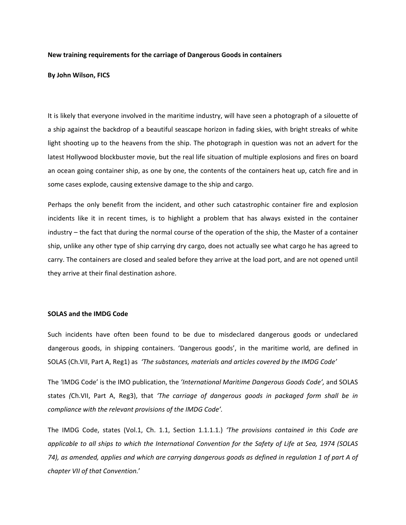## **New training requirements for the carriage of Dangerous Goods in containers**

#### **By John Wilson, FICS**

It is likely that everyone involved in the maritime industry, will have seen a photograph of a silouette of a ship against the backdrop of a beautiful seascape horizon in fading skies, with bright streaks of white light shooting up to the heavens from the ship. The photograph in question was not an advert for the latest Hollywood blockbuster movie, but the real life situation of multiple explosions and fires on board an ocean going container ship, as one by one, the contents of the containers heat up, catch fire and in some cases explode, causing extensive damage to the ship and cargo.

Perhaps the only benefit from the incident, and other such catastrophic container fire and explosion incidents like it in recent times, is to highlight a problem that has always existed in the container industry – the fact that during the normal course of the operation of the ship, the Master of a container ship, unlike any other type of ship carrying dry cargo, does not actually see what cargo he has agreed to carry. The containers are closed and sealed before they arrive at the load port, and are not opened until they arrive at their final destination ashore.

#### **SOLAS and the IMDG Code**

Such incidents have often been found to be due to misdeclared dangerous goods or undeclared dangerous goods, in shipping containers. 'Dangerous goods', in the maritime world, are defined in SOLAS (Ch.VII, Part A, Reg1) as *'The substances, materials and articles covered by the IMDG Code'*

The *'*IMDG Code' is the IMO publication, the *'International Maritime Dangerous Goods Code',* and SOLAS states *(*Ch.VII, Part A, Reg3), that *'The carriage of dangerous goods in packaged form shall be in compliance with the relevant provisions of the IMDG Code'.*

The IMDG Code, states (Vol.1, Ch. 1.1, Section 1.1.1.1.) *'The provisions contained in this Code are* applicable to all ships to which the International Convention for the Safety of Life at Sea, 1974 (SOLAS 74), as amended, applies and which are carrying dangerous goods as defined in regulation 1 of part A of *chapter VII of that Convention.*'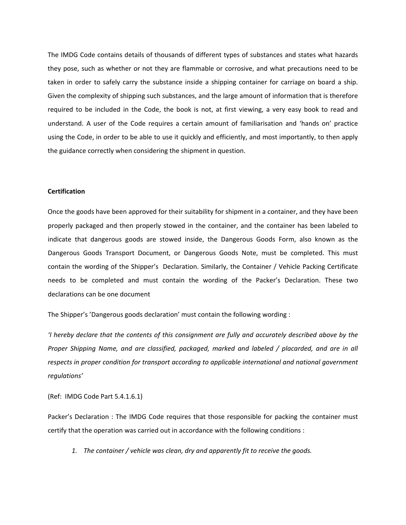The IMDG Code contains details of thousands of different types of substances and states what hazards they pose, such as whether or not they are flammable or corrosive, and what precautions need to be taken in order to safely carry the substance inside a shipping container for carriage on board a ship. Given the complexity of shipping such substances, and the large amount of information that is therefore required to be included in the Code, the book is not, at first viewing, a very easy book to read and understand. A user of the Code requires a certain amount of familiarisation and 'hands on' practice using the Code, in order to be able to use it quickly and efficiently, and most importantly, to then apply the guidance correctly when considering the shipment in question.

## **Certification**

Once the goods have been approved for their suitability for shipment in a container, and they have been properly packaged and then properly stowed in the container, and the container has been labeled to indicate that dangerous goods are stowed inside, the Dangerous Goods Form, also known as the Dangerous Goods Transport Document, or Dangerous Goods Note, must be completed. This must contain the wording of the Shipper's Declaration. Similarly, the Container / Vehicle Packing Certificate needs to be completed and must contain the wording of the Packer's Declaration. These two declarations can be one document

The Shipper's 'Dangerous goods declaration' must contain the following wording :

*'I hereby declare that the contents of this consignment are fully and accurately described above by the Proper Shipping Name, and are classified, packaged, marked and labeled / placarded, and are in all respects in proper condition for transport according to applicable international and national government regulations'*

(Ref: IMDG Code Part 5.4.1.6.1)

Packer's Declaration : The IMDG Code requires that those responsible for packing the container must certify that the operation was carried out in accordance with the following conditions :

*1. The container / vehicle was clean, dry and apparently fit to receive the goods.*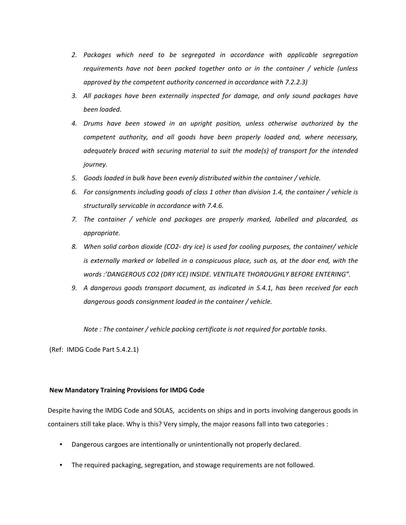- *2. Packages which need to be segregated in accordance with applicable segregation requirements have not been packed together onto or in the container / vehicle (unless approved by the competent authority concerned in accordance with 7.2.2.3)*
- *3. All packages have been externally inspected for damage, and only sound packages have been loaded.*
- *4. Drums have been stowed in an upright position, unless otherwise authorized by the competent authority, and all goods have been properly loaded and, where necessary, adequately braced with securing material to suit the mode(s) of transport for the intended journey.*
- *5. Goods loaded in bulk have been evenly distributed within the container / vehicle.*
- *6. For consignments including goods of class 1 other than division 1.4, the container / vehicle is structurally servicable in accordance with 7.4.6.*
- *7. The container / vehicle and packages are properly marked, labelled and placarded, as appropriate.*
- *8. When solid carbon dioxide (CO2‐ dry ice) is used for cooling purposes, the container/ vehicle is externally marked or labelled in a conspicuous place, such as, at the door end, with the words :'DANGEROUS CO2 (DRY ICE) INSIDE. VENTILATE THOROUGHLY BEFORE ENTERING".*
- *9. A dangerous goods transport document, as indicated in 5.4.1, has been received for each dangerous goods consignment loaded in the container / vehicle.*

*Note : The container / vehicle packing certificate is not required for portable tanks.*

(Ref: IMDG Code Part 5.4.2.1)

# **New Mandatory Training Provisions for IMDG Code**

Despite having the IMDG Code and SOLAS, accidents on ships and in ports involving dangerous goods in containers still take place. Why is this? Very simply, the major reasons fall into two categories :

- Dangerous cargoes are intentionally or unintentionally not properly declared.
- The required packaging, segregation, and stowage requirements are not followed.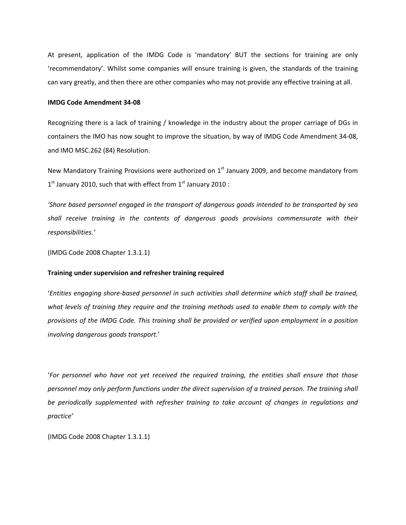At present, application of the IMDG Code is 'mandatory' BUT the sections for training are only 'recommendatory'. Whilst some companies will ensure training is given, the standards of the training can vary greatly, and then there are other companies who may not provide any effective training at all.

#### **IMDG Code Amendment 34‐08**

Recognizing there is a lack of training / knowledge in the industry about the proper carriage of DGs in containers the IMO has now sought to improve the situation, by way of IMDG Code Amendment 34‐08, and IMO MSC.262 (84) Resolution.

New Mandatory Training Provisions were authorized on 1<sup>st</sup> January 2009, and become mandatory from  $1<sup>st</sup>$  January 2010, such that with effect from  $1<sup>st</sup>$  January 2010 :

*'Shore based personnel engaged in the transport of dangerous goods intended to be transported by sea shall receive training in the contents of dangerous goods provisions commensurate with their responsibilities.'* 

(IMDG Code 2008 Chapter 1.3.1.1)

# **Training under supervision and refresher training required**

'*Entities engaging shore‐based personnel in such activities shall determine which staff shall be trained,* what levels of training they require and the training methods used to enable them to comply with the *provisions of the IMDG Code. This training shall be provided or verified upon employment in a position involving dangerous goods transport.*'

'*For personnel who have not yet received the required training, the entities shall ensure that those personnel may only perform functions under the direct supervision of a trained person. The training shall be periodically supplemented with refresher training to take account of changes in regulations and practice'*

(IMDG Code 2008 Chapter 1.3.1.1)